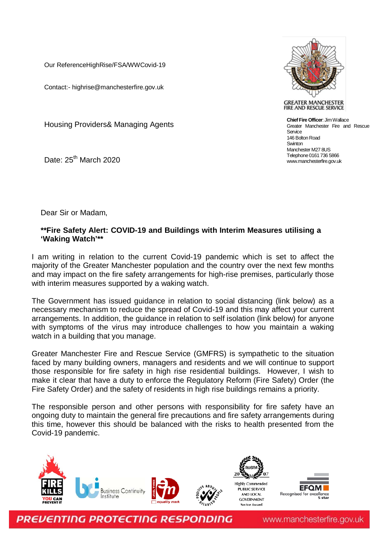Our ReferenceHighRise/FSA/WWCovid-19

Contact:- highrise@manchesterfire.gov.uk

Housing Providers& Managing Agents

Date: 25<sup>th</sup> March 2020



**GREATER MANCHESTER** FIRE AND RESCUE SERVICE

**Chief Fire Officer**: Jim Wallace Greater Manchester Fire and Rescue Senice 146 Bolton Road **Swinton** Manchester M27 8US Telephone 0161 736 5866 www.manchesterfire.gov.uk

Dear Sir or Madam,

## **\*\*Fire Safety Alert: COVID-19 and Buildings with Interim Measures utilising a 'Waking Watch'\*\***

I am writing in relation to the current Covid-19 pandemic which is set to affect the majority of the Greater Manchester population and the country over the next few months and may impact on the fire safety arrangements for high-rise premises, particularly those with interim measures supported by a waking watch.

The Government has issued guidance in relation to social distancing (link below) as a necessary mechanism to reduce the spread of Covid-19 and this may affect your current arrangements. In addition, the guidance in relation to self isolation (link below) for anyone with symptoms of the virus may introduce challenges to how you maintain a waking watch in a building that you manage.

Greater Manchester Fire and Rescue Service (GMFRS) is sympathetic to the situation faced by many building owners, managers and residents and we will continue to support those responsible for fire safety in high rise residential buildings. However, I wish to make it clear that have a duty to enforce the Regulatory Reform (Fire Safety) Order (the Fire Safety Order) and the safety of residents in high rise buildings remains a priority.

The responsible person and other persons with responsibility for fire safety have an ongoing duty to maintain the general fire precautions and fire safety arrangements during this time, however this should be balanced with the risks to health presented from the Covid-19 pandemic.





PREVENTING PROTECTING RESPONDING

www.manchesterfire.gov.uk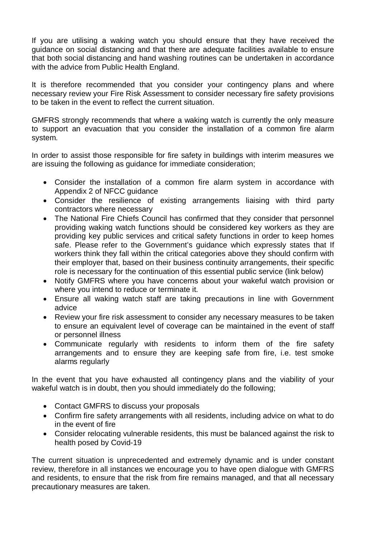If you are utilising a waking watch you should ensure that they have received the guidance on social distancing and that there are adequate facilities available to ensure that both social distancing and hand washing routines can be undertaken in accordance with the advice from Public Health England.

It is therefore recommended that you consider your contingency plans and where necessary review your Fire Risk Assessment to consider necessary fire safety provisions to be taken in the event to reflect the current situation.

GMFRS strongly recommends that where a waking watch is currently the only measure to support an evacuation that you consider the installation of a common fire alarm system.

In order to assist those responsible for fire safety in buildings with interim measures we are issuing the following as guidance for immediate consideration;

- Consider the installation of a common fire alarm system in accordance with Appendix 2 of NFCC guidance
- Consider the resilience of existing arrangements liaising with third party contractors where necessary
- The National Fire Chiefs Council has confirmed that they consider that personnel providing waking watch functions should be considered key workers as they are providing key public services and critical safety functions in order to keep homes safe. Please refer to the Government's guidance which expressly states that If workers think they fall within the critical categories above they should confirm with their employer that, based on their business continuity arrangements, their specific role is necessary for the continuation of this essential public service (link below)
- Notify GMFRS where you have concerns about your wakeful watch provision or where you intend to reduce or terminate it.
- Ensure all waking watch staff are taking precautions in line with Government advice
- Review your fire risk assessment to consider any necessary measures to be taken to ensure an equivalent level of coverage can be maintained in the event of staff or personnel illness
- Communicate regularly with residents to inform them of the fire safety arrangements and to ensure they are keeping safe from fire, i.e. test smoke alarms regularly

In the event that you have exhausted all contingency plans and the viability of your wakeful watch is in doubt, then you should immediately do the following;

- Contact GMFRS to discuss your proposals
- Confirm fire safety arrangements with all residents, including advice on what to do in the event of fire
- Consider relocating vulnerable residents, this must be balanced against the risk to health posed by Covid-19

The current situation is unprecedented and extremely dynamic and is under constant review, therefore in all instances we encourage you to have open dialogue with GMFRS and residents, to ensure that the risk from fire remains managed, and that all necessary precautionary measures are taken.